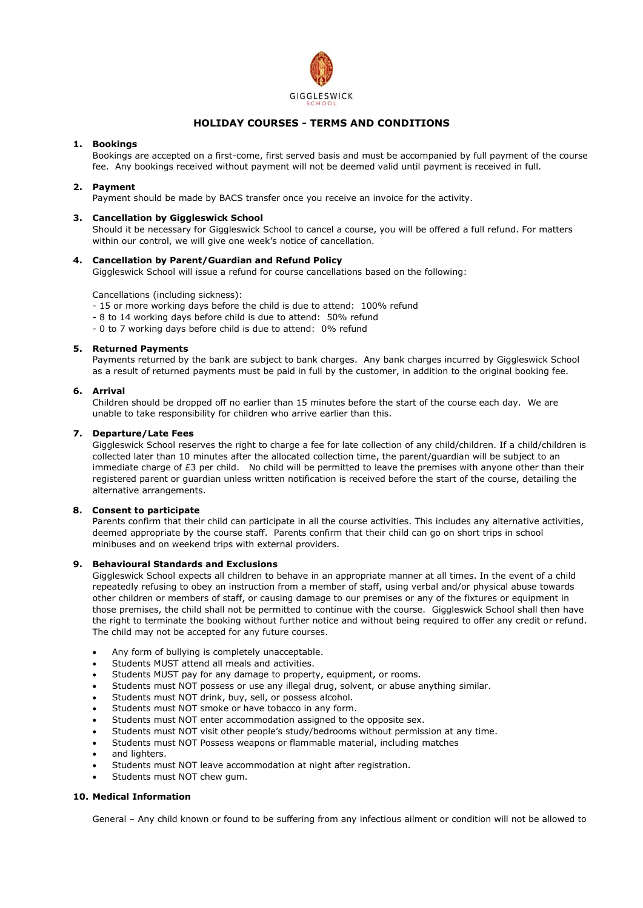

# **HOLIDAY COURSES - TERMS AND CONDITIONS**

## **1. Bookings**

Bookings are accepted on a first-come, first served basis and must be accompanied by full payment of the course fee. Any bookings received without payment will not be deemed valid until payment is received in full.

## **2. Payment**

Payment should be made by BACS transfer once you receive an invoice for the activity.

## **3. Cancellation by Giggleswick School**

Should it be necessary for Giggleswick School to cancel a course, you will be offered a full refund. For matters within our control, we will give one week's notice of cancellation.

## **4. Cancellation by Parent/Guardian and Refund Policy**

Giggleswick School will issue a refund for course cancellations based on the following:

Cancellations (including sickness):

- 15 or more working days before the child is due to attend: 100% refund
- 8 to 14 working days before child is due to attend: 50% refund
- 0 to 7 working days before child is due to attend: 0% refund

## **5. Returned Payments**

Payments returned by the bank are subject to bank charges. Any bank charges incurred by Giggleswick School as a result of returned payments must be paid in full by the customer, in addition to the original booking fee.

## **6. Arrival**

Children should be dropped off no earlier than 15 minutes before the start of the course each day. We are unable to take responsibility for children who arrive earlier than this.

## **7. Departure/Late Fees**

Giggleswick School reserves the right to charge a fee for late collection of any child/children. If a child/children is collected later than 10 minutes after the allocated collection time, the parent/guardian will be subject to an immediate charge of £3 per child. No child will be permitted to leave the premises with anyone other than their registered parent or guardian unless written notification is received before the start of the course, detailing the alternative arrangements.

## **8. Consent to participate**

Parents confirm that their child can participate in all the course activities. This includes any alternative activities, deemed appropriate by the course staff. Parents confirm that their child can go on short trips in school minibuses and on weekend trips with external providers.

## **9. Behavioural Standards and Exclusions**

Giggleswick School expects all children to behave in an appropriate manner at all times. In the event of a child repeatedly refusing to obey an instruction from a member of staff, using verbal and/or physical abuse towards other children or members of staff, or causing damage to our premises or any of the fixtures or equipment in those premises, the child shall not be permitted to continue with the course. Giggleswick School shall then have the right to terminate the booking without further notice and without being required to offer any credit or refund. The child may not be accepted for any future courses.

- Any form of bullying is completely unacceptable.
- Students MUST attend all meals and activities.
- Students MUST pay for any damage to property, equipment, or rooms.
- Students must NOT possess or use any illegal drug, solvent, or abuse anything similar.
- Students must NOT drink, buy, sell, or possess alcohol.
- Students must NOT smoke or have tobacco in any form.
- Students must NOT enter accommodation assigned to the opposite sex.
- Students must NOT visit other people's study/bedrooms without permission at any time.
- Students must NOT Possess weapons or flammable material, including matches
- and lighters.
- Students must NOT leave accommodation at night after registration.
- Students must NOT chew gum.

## **10. Medical Information**

General – Any child known or found to be suffering from any infectious ailment or condition will not be allowed to